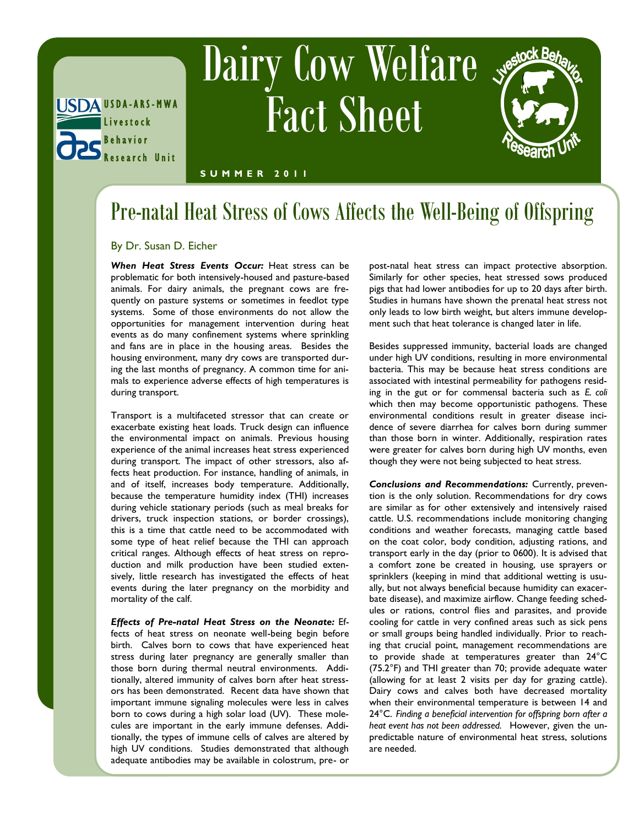

# Dairy Cow Welfare Fact Sheet



#### **S U M M E R 2 0 1 1**

## Pre-natal Heat Stress of Cows Affects the Well-Being of Offspring

### By Dr. Susan D. Eicher

*When Heat Stress Events Occur:* Heat stress can be problematic for both intensively-housed and pasture-based animals. For dairy animals, the pregnant cows are frequently on pasture systems or sometimes in feedlot type systems. Some of those environments do not allow the opportunities for management intervention during heat events as do many confinement systems where sprinkling and fans are in place in the housing areas. Besides the housing environment, many dry cows are transported during the last months of pregnancy. A common time for animals to experience adverse effects of high temperatures is during transport.

Transport is a multifaceted stressor that can create or exacerbate existing heat loads. Truck design can influence the environmental impact on animals. Previous housing experience of the animal increases heat stress experienced during transport. The impact of other stressors, also affects heat production. For instance, handling of animals, in and of itself, increases body temperature. Additionally, because the temperature humidity index (THI) increases during vehicle stationary periods (such as meal breaks for drivers, truck inspection stations, or border crossings), this is a time that cattle need to be accommodated with some type of heat relief because the THI can approach critical ranges. Although effects of heat stress on reproduction and milk production have been studied extensively, little research has investigated the effects of heat events during the later pregnancy on the morbidity and mortality of the calf.

*Effects of Pre-natal Heat Stress on the Neonate:* Effects of heat stress on neonate well-being begin before birth. Calves born to cows that have experienced heat stress during later pregnancy are generally smaller than those born during thermal neutral environments. Additionally, altered immunity of calves born after heat stressors has been demonstrated. Recent data have shown that important immune signaling molecules were less in calves born to cows during a high solar load (UV). These molecules are important in the early immune defenses. Additionally, the types of immune cells of calves are altered by high UV conditions. Studies demonstrated that although adequate antibodies may be available in colostrum, pre- or

post-natal heat stress can impact protective absorption. Similarly for other species, heat stressed sows produced pigs that had lower antibodies for up to 20 days after birth. Studies in humans have shown the prenatal heat stress not only leads to low birth weight, but alters immune development such that heat tolerance is changed later in life.

Besides suppressed immunity, bacterial loads are changed under high UV conditions, resulting in more environmental bacteria. This may be because heat stress conditions are associated with intestinal permeability for pathogens residing in the gut or for commensal bacteria such as *E. coli* which then may become opportunistic pathogens. These environmental conditions result in greater disease incidence of severe diarrhea for calves born during summer than those born in winter. Additionally, respiration rates were greater for calves born during high UV months, even though they were not being subjected to heat stress.

*Conclusions and Recommendations:* Currently, prevention is the only solution. Recommendations for dry cows are similar as for other extensively and intensively raised cattle. U.S. recommendations include monitoring changing conditions and weather forecasts, managing cattle based on the coat color, body condition, adjusting rations, and transport early in the day (prior to 0600). It is advised that a comfort zone be created in housing, use sprayers or sprinklers (keeping in mind that additional wetting is usually, but not always beneficial because humidity can exacerbate disease), and maximize airflow. Change feeding schedules or rations, control flies and parasites, and provide cooling for cattle in very confined areas such as sick pens or small groups being handled individually. Prior to reaching that crucial point, management recommendations are to provide shade at temperatures greater than 24°C (75.2°F) and THI greater than 70; provide adequate water (allowing for at least 2 visits per day for grazing cattle). Dairy cows and calves both have decreased mortality when their environmental temperature is between 14 and 24°C. *Finding a beneficial intervention for offspring born after a heat event has not been addressed.* However, given the unpredictable nature of environmental heat stress, solutions are needed.